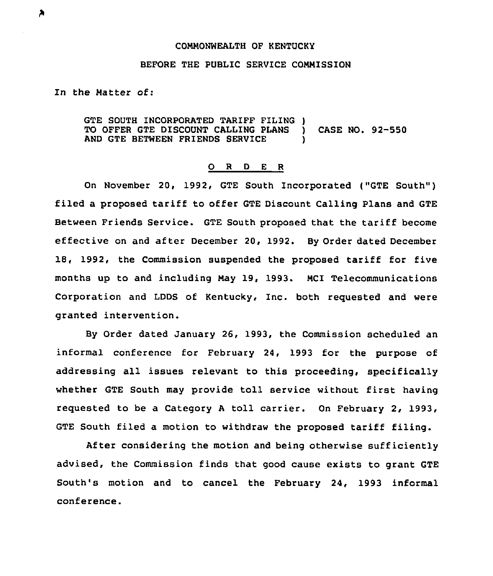## COMMONWEALTH OF KENTUCKy

## BEFORE THE PUBLIC SERVICE CONNISSION

In the Natter of:

GTE SOUTH INCORPORATED TARIFF FILING )<br>TO OFFER GTE DISCOUNT CALLING PLANS ) TO OFFER GTE DISCOUNT CALLING PLANS ) CASE NO. 92-550<br>AND GTE BETWEEN FRIENDS SERVICE AND GTE BETWEEN FRIENDS SERVICE

## 0 <sup>R</sup> <sup>D</sup> <sup>E</sup> <sup>R</sup>

On November 20, 1992, GTE South Incorporated ("GTE South" ) filed a proposed tariff to offer GTE Discount Calling Plans and GTE Between Friends Service. GTE South proposed that the tariff become effective on and after December 20, 1992. By Order dated December 18, 1992, the Commission suspended the proposed tariff for five months up to and including Nay 19, 1993. NCI Telecommunications Corporation and LDDS of Kentucky, Inc. both requested and were granted intervention.

By Order dated January 26, 1993, the Commission scheduled an informal conference for February 24, 1993 for the purpose of addressing all issues relevant to this proceeding, specifically whether GTE South may provide toll service without first having requested to be a Category <sup>A</sup> toll carrier. On February 2, 1993, GTE South filed a motion to withdraw the proposed tariff filing.

After considering the motion and being otherwise sufficiently advised, the Commission finds that good cause exists to grant GTE South's motion and to cancel the February 24, 1993 informal conference.